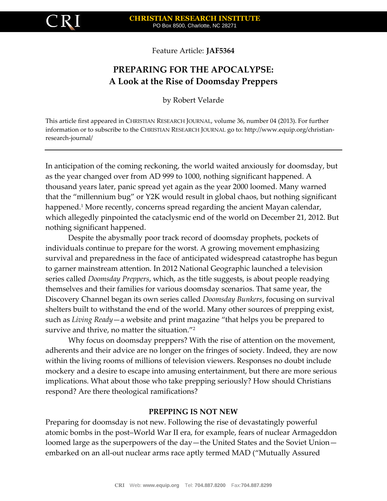

Feature Article: **JAF5364**

# **PREPARING FOR THE APOCALYPSE: A Look at the Rise of Doomsday Preppers**

by Robert Velarde

This article first appeared in CHRISTIAN RESEARCH JOURNAL, volume 36, number 04 (2013). For further information or to subscribe to the CHRISTIAN RESEARCH JOURNAL go to: http://www.equip.org/christianresearch-journal/

In anticipation of the coming reckoning, the world waited anxiously for doomsday, but as the year changed over from AD 999 to 1000, nothing significant happened. A thousand years later, panic spread yet again as the year 2000 loomed. Many warned that the "millennium bug" or Y2K would result in global chaos, but nothing significant happened.<sup>1</sup> More recently, concerns spread regarding the ancient Mayan calendar, which allegedly pinpointed the cataclysmic end of the world on December 21, 2012. But nothing significant happened.

Despite the abysmally poor track record of doomsday prophets, pockets of individuals continue to prepare for the worst. A growing movement emphasizing survival and preparedness in the face of anticipated widespread catastrophe has begun to garner mainstream attention. In 2012 National Geographic launched a television series called *Doomsday Preppers*, which, as the title suggests, is about people readying themselves and their families for various doomsday scenarios. That same year, the Discovery Channel began its own series called *Doomsday Bunkers*, focusing on survival shelters built to withstand the end of the world. Many other sources of prepping exist, such as *Living Ready*—a website and print magazine "that helps you be prepared to survive and thrive, no matter the situation."<sup>2</sup>

Why focus on doomsday preppers? With the rise of attention on the movement, adherents and their advice are no longer on the fringes of society. Indeed, they are now within the living rooms of millions of television viewers. Responses no doubt include mockery and a desire to escape into amusing entertainment, but there are more serious implications. What about those who take prepping seriously? How should Christians respond? Are there theological ramifications?

#### **PREPPING IS NOT NEW**

Preparing for doomsday is not new. Following the rise of devastatingly powerful atomic bombs in the post–World War II era, for example, fears of nuclear Armageddon loomed large as the superpowers of the day—the United States and the Soviet Union embarked on an all-out nuclear arms race aptly termed MAD ("Mutually Assured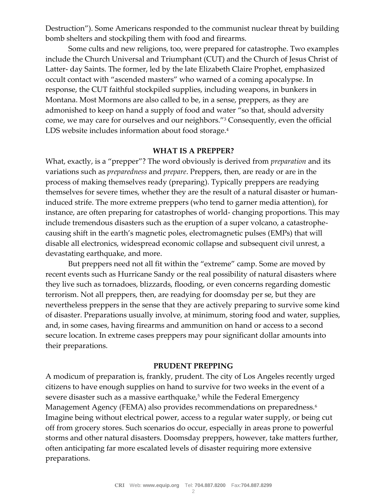Destruction"). Some Americans responded to the communist nuclear threat by building bomb shelters and stockpiling them with food and firearms.

Some cults and new religions, too, were prepared for catastrophe. Two examples include the Church Universal and Triumphant (CUT) and the Church of Jesus Christ of Latter- day Saints. The former, led by the late Elizabeth Claire Prophet, emphasized occult contact with "ascended masters" who warned of a coming apocalypse. In response, the CUT faithful stockpiled supplies, including weapons, in bunkers in Montana. Most Mormons are also called to be, in a sense, preppers, as they are admonished to keep on hand a supply of food and water "so that, should adversity come, we may care for ourselves and our neighbors."<sup>3</sup> Consequently, even the official LDS website includes information about food storage.<sup>4</sup>

#### **WHAT IS A PREPPER?**

What, exactly, is a "prepper"? The word obviously is derived from *preparation* and its variations such as *preparedness* and *prepare*. Preppers, then, are ready or are in the process of making themselves ready (preparing). Typically preppers are readying themselves for severe times, whether they are the result of a natural disaster or humaninduced strife. The more extreme preppers (who tend to garner media attention), for instance, are often preparing for catastrophes of world- changing proportions. This may include tremendous disasters such as the eruption of a super volcano, a catastrophecausing shift in the earth's magnetic poles, electromagnetic pulses (EMPs) that will disable all electronics, widespread economic collapse and subsequent civil unrest, a devastating earthquake, and more.

But preppers need not all fit within the "extreme" camp. Some are moved by recent events such as Hurricane Sandy or the real possibility of natural disasters where they live such as tornadoes, blizzards, flooding, or even concerns regarding domestic terrorism. Not all preppers, then, are readying for doomsday per se, but they are nevertheless preppers in the sense that they are actively preparing to survive some kind of disaster. Preparations usually involve, at minimum, storing food and water, supplies, and, in some cases, having firearms and ammunition on hand or access to a second secure location. In extreme cases preppers may pour significant dollar amounts into their preparations.

#### **PRUDENT PREPPING**

A modicum of preparation is, frankly, prudent. The city of Los Angeles recently urged citizens to have enough supplies on hand to survive for two weeks in the event of a severe disaster such as a massive earthquake,<sup>5</sup> while the Federal Emergency Management Agency (FEMA) also provides recommendations on preparedness.<sup>6</sup> Imagine being without electrical power, access to a regular water supply, or being cut off from grocery stores. Such scenarios do occur, especially in areas prone to powerful storms and other natural disasters. Doomsday preppers, however, take matters further, often anticipating far more escalated levels of disaster requiring more extensive preparations.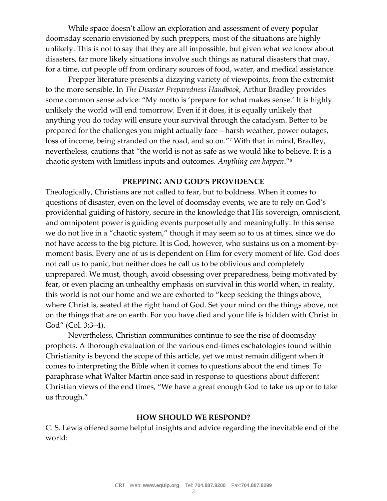While space doesn't allow an exploration and assessment of every popular doomsday scenario envisioned by such preppers, most of the situations are highly unlikely. This is not to say that they are all impossible, but given what we know about disasters, far more likely situations involve such things as natural disasters that may, for a time, cut people off from ordinary sources of food, water, and medical assistance.

Prepper literature presents a dizzying variety of viewpoints, from the extremist to the more sensible. In *The Disaster Preparedness Handbook*, Arthur Bradley provides some common sense advice: "My motto is 'prepare for what makes sense.' It is highly unlikely the world will end tomorrow. Even if it does, it is equally unlikely that anything you do today will ensure your survival through the cataclysm. Better to be prepared for the challenges you might actually face—harsh weather, power outages, loss of income, being stranded on the road, and so on." <sup>7</sup> With that in mind, Bradley, nevertheless, cautions that "the world is not as safe as we would like to believe. It is a chaotic system with limitless inputs and outcomes. *Anything can happen*."<sup>8</sup>

#### **PREPPING AND GOD'S PROVIDENCE**

Theologically, Christians are not called to fear, but to boldness. When it comes to questions of disaster, even on the level of doomsday events, we are to rely on God's providential guiding of history, secure in the knowledge that His sovereign, omniscient, and omnipotent power is guiding events purposefully and meaningfully. In this sense we do not live in a "chaotic system," though it may seem so to us at times, since we do not have access to the big picture. It is God, however, who sustains us on a moment-bymoment basis. Every one of us is dependent on Him for every moment of life. God does not call us to panic, but neither does he call us to be oblivious and completely unprepared. We must, though, avoid obsessing over preparedness, being motivated by fear, or even placing an unhealthy emphasis on survival in this world when, in reality, this world is not our home and we are exhorted to "keep seeking the things above, where Christ is, seated at the right hand of God. Set your mind on the things above, not on the things that are on earth. For you have died and your life is hidden with Christ in God" (Col. 3:3–4).

Nevertheless, Christian communities continue to see the rise of doomsday prophets. A thorough evaluation of the various end-times eschatologies found within Christianity is beyond the scope of this article, yet we must remain diligent when it comes to interpreting the Bible when it comes to questions about the end times. To paraphrase what Walter Martin once said in response to questions about different Christian views of the end times, "We have a great enough God to take us up or to take us through."

### **HOW SHOULD WE RESPOND?**

C. S. Lewis offered some helpful insights and advice regarding the inevitable end of the world: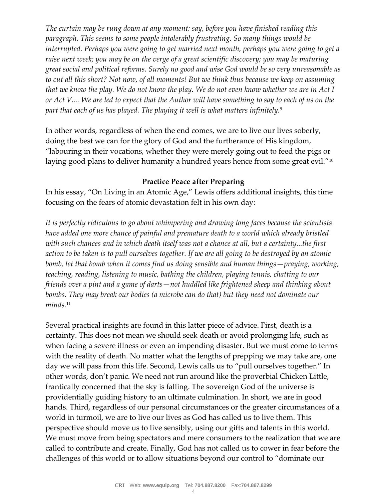*The curtain may be rung down at any moment: say, before you have finished reading this paragraph. This seems to some people intolerably frustrating. So many things would be interrupted. Perhaps you were going to get married next month, perhaps you were going to get a raise next week; you may be on the verge of a great scientific discovery; you may be maturing great social and political reforms. Surely no good and wise God would be so very unreasonable as to cut all this short? Not now, of all moments! But we think thus because we keep on assuming that we know the play. We do not know the play. We do not even know whether we are in Act I or Act V.... We are led to expect that the Author will have something to say to each of us on the part that each of us has played. The playing it well is what matters infinitely.*<sup>9</sup>

In other words, regardless of when the end comes, we are to live our lives soberly, doing the best we can for the glory of God and the furtherance of His kingdom, "labouring in their vocations, whether they were merely going out to feed the pigs or laying good plans to deliver humanity a hundred years hence from some great evil."<sup>10</sup>

## **Practice Peace after Preparing**

In his essay, "On Living in an Atomic Age," Lewis offers additional insights, this time focusing on the fears of atomic devastation felt in his own day:

*It is perfectly ridiculous to go about whimpering and drawing long faces because the scientists have added one more chance of painful and premature death to a world which already bristled with such chances and in which death itself was not a chance at all, but a certainty...the first action to be taken is to pull ourselves together. If we are all going to be destroyed by an atomic bomb, let that bomb when it comes find us doing sensible and human things—praying, working, teaching, reading, listening to music, bathing the children, playing tennis, chatting to our friends over a pint and a game of darts—not huddled like frightened sheep and thinking about bombs. They may break our bodies (a microbe can do that) but they need not dominate our minds.*<sup>11</sup>

Several practical insights are found in this latter piece of advice. First, death is a certainty. This does not mean we should seek death or avoid prolonging life, such as when facing a severe illness or even an impending disaster. But we must come to terms with the reality of death. No matter what the lengths of prepping we may take are, one day we will pass from this life. Second, Lewis calls us to "pull ourselves together." In other words, don't panic. We need not run around like the proverbial Chicken Little, frantically concerned that the sky is falling. The sovereign God of the universe is providentially guiding history to an ultimate culmination. In short, we are in good hands. Third, regardless of our personal circumstances or the greater circumstances of a world in turmoil, we are to live our lives as God has called us to live them. This perspective should move us to live sensibly, using our gifts and talents in this world. We must move from being spectators and mere consumers to the realization that we are called to contribute and create. Finally, God has not called us to cower in fear before the challenges of this world or to allow situations beyond our control to "dominate our